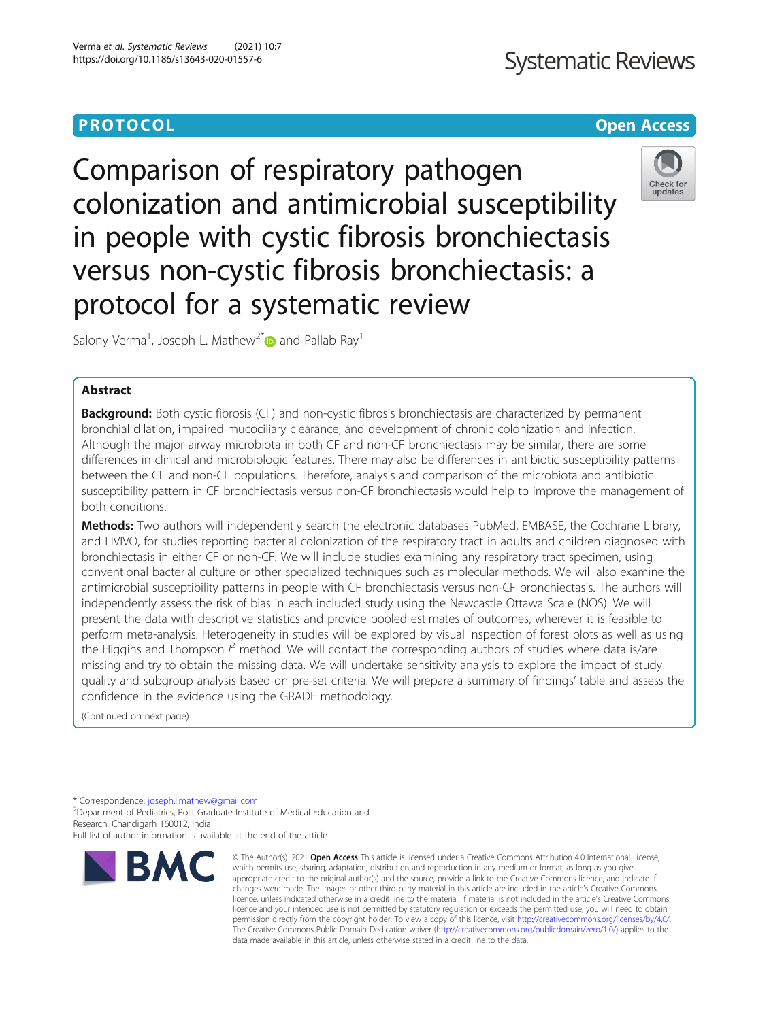# **Systematic Reviews**

# **PROTOCOL CONSUMING THE CONSUMING TEACHER CONSUMING THE CONSUMING TEACHER CONSUMING THE CONSUMING TEACHER CONSUMING**

Comparison of respiratory pathogen colonization and antimicrobial susceptibility in people with cystic fibrosis bronchiectasis versus non-cystic fibrosis bronchiectasis: a protocol for a systematic review



Salony Verma<sup>1</sup>, Joseph L. Mathew<sup>2\*</sup> and Pallab Ray<sup>1</sup>

# Abstract

Background: Both cystic fibrosis (CF) and non-cystic fibrosis bronchiectasis are characterized by permanent bronchial dilation, impaired mucociliary clearance, and development of chronic colonization and infection. Although the major airway microbiota in both CF and non-CF bronchiectasis may be similar, there are some differences in clinical and microbiologic features. There may also be differences in antibiotic susceptibility patterns between the CF and non-CF populations. Therefore, analysis and comparison of the microbiota and antibiotic susceptibility pattern in CF bronchiectasis versus non-CF bronchiectasis would help to improve the management of both conditions.

Methods: Two authors will independently search the electronic databases PubMed, EMBASE, the Cochrane Library, and LIVIVO, for studies reporting bacterial colonization of the respiratory tract in adults and children diagnosed with bronchiectasis in either CF or non-CF. We will include studies examining any respiratory tract specimen, using conventional bacterial culture or other specialized techniques such as molecular methods. We will also examine the antimicrobial susceptibility patterns in people with CF bronchiectasis versus non-CF bronchiectasis. The authors will independently assess the risk of bias in each included study using the Newcastle Ottawa Scale (NOS). We will present the data with descriptive statistics and provide pooled estimates of outcomes, wherever it is feasible to perform meta-analysis. Heterogeneity in studies will be explored by visual inspection of forest plots as well as using the Higgins and Thompson  $l^2$  method. We will contact the corresponding authors of studies where data is/are missing and try to obtain the missing data. We will undertake sensitivity analysis to explore the impact of study quality and subgroup analysis based on pre-set criteria. We will prepare a summary of findings' table and assess the confidence in the evidence using the GRADE methodology.

(Continued on next page)

\* Correspondence: [joseph.l.mathew@gmail.com](mailto:joseph.l.mathew@gmail.com) <sup>2</sup>

<sup>2</sup>Department of Pediatrics, Post Graduate Institute of Medical Education and Research, Chandigarh 160012, India

Full list of author information is available at the end of the article



<sup>©</sup> The Author(s), 2021 **Open Access** This article is licensed under a Creative Commons Attribution 4.0 International License, which permits use, sharing, adaptation, distribution and reproduction in any medium or format, as long as you give appropriate credit to the original author(s) and the source, provide a link to the Creative Commons licence, and indicate if changes were made. The images or other third party material in this article are included in the article's Creative Commons licence, unless indicated otherwise in a credit line to the material. If material is not included in the article's Creative Commons licence and your intended use is not permitted by statutory regulation or exceeds the permitted use, you will need to obtain permission directly from the copyright holder. To view a copy of this licence, visit [http://creativecommons.org/licenses/by/4.0/.](http://creativecommons.org/licenses/by/4.0/) The Creative Commons Public Domain Dedication waiver [\(http://creativecommons.org/publicdomain/zero/1.0/](http://creativecommons.org/publicdomain/zero/1.0/)) applies to the data made available in this article, unless otherwise stated in a credit line to the data.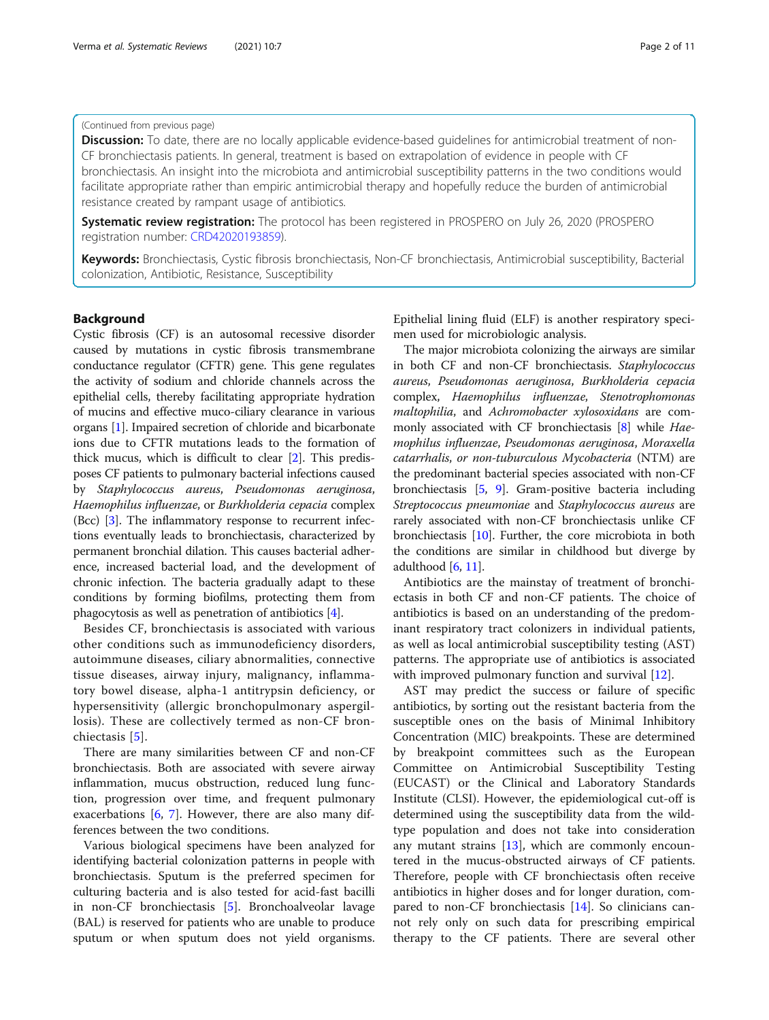# (Continued from previous page)

**Discussion:** To date, there are no locally applicable evidence-based guidelines for antimicrobial treatment of non-CF bronchiectasis patients. In general, treatment is based on extrapolation of evidence in people with CF bronchiectasis. An insight into the microbiota and antimicrobial susceptibility patterns in the two conditions would facilitate appropriate rather than empiric antimicrobial therapy and hopefully reduce the burden of antimicrobial resistance created by rampant usage of antibiotics.

**Systematic review registration:** The protocol has been registered in PROSPERO on July 26, 2020 (PROSPERO registration number: [CRD42020193859\)](https://www.crd.york.ac.uk/prospero/display_record.php?RecordID=193859).

Keywords: Bronchiectasis, Cystic fibrosis bronchiectasis, Non-CF bronchiectasis, Antimicrobial susceptibility, Bacterial colonization, Antibiotic, Resistance, Susceptibility

# Background

Cystic fibrosis (CF) is an autosomal recessive disorder caused by mutations in cystic fibrosis transmembrane conductance regulator (CFTR) gene. This gene regulates the activity of sodium and chloride channels across the epithelial cells, thereby facilitating appropriate hydration of mucins and effective muco-ciliary clearance in various organs [\[1\]](#page-9-0). Impaired secretion of chloride and bicarbonate ions due to CFTR mutations leads to the formation of thick mucus, which is difficult to clear [\[2](#page-9-0)]. This predisposes CF patients to pulmonary bacterial infections caused by Staphylococcus aureus, Pseudomonas aeruginosa, Haemophilus influenzae, or Burkholderia cepacia complex (Bcc) [\[3](#page-9-0)]. The inflammatory response to recurrent infections eventually leads to bronchiectasis, characterized by permanent bronchial dilation. This causes bacterial adherence, increased bacterial load, and the development of chronic infection. The bacteria gradually adapt to these conditions by forming biofilms, protecting them from phagocytosis as well as penetration of antibiotics [\[4\]](#page-9-0).

Besides CF, bronchiectasis is associated with various other conditions such as immunodeficiency disorders, autoimmune diseases, ciliary abnormalities, connective tissue diseases, airway injury, malignancy, inflammatory bowel disease, alpha-1 antitrypsin deficiency, or hypersensitivity (allergic bronchopulmonary aspergillosis). These are collectively termed as non-CF bronchiectasis [[5\]](#page-9-0).

There are many similarities between CF and non-CF bronchiectasis. Both are associated with severe airway inflammation, mucus obstruction, reduced lung function, progression over time, and frequent pulmonary exacerbations [[6,](#page-9-0) [7\]](#page-9-0). However, there are also many differences between the two conditions.

Various biological specimens have been analyzed for identifying bacterial colonization patterns in people with bronchiectasis. Sputum is the preferred specimen for culturing bacteria and is also tested for acid-fast bacilli in non-CF bronchiectasis [\[5](#page-9-0)]. Bronchoalveolar lavage (BAL) is reserved for patients who are unable to produce sputum or when sputum does not yield organisms. Epithelial lining fluid (ELF) is another respiratory specimen used for microbiologic analysis.

The major microbiota colonizing the airways are similar in both CF and non-CF bronchiectasis. Staphylococcus aureus, Pseudomonas aeruginosa, Burkholderia cepacia complex, Haemophilus influenzae, Stenotrophomonas maltophilia, and Achromobacter xylosoxidans are com-monly associated with CF bronchiectasis [\[8\]](#page-9-0) while Haemophilus influenzae, Pseudomonas aeruginosa, Moraxella catarrhalis, or non-tuburculous Mycobacteria (NTM) are the predominant bacterial species associated with non-CF bronchiectasis [[5,](#page-9-0) [9\]](#page-9-0). Gram-positive bacteria including Streptococcus pneumoniae and Staphylococcus aureus are rarely associated with non-CF bronchiectasis unlike CF bronchiectasis [[10](#page-9-0)]. Further, the core microbiota in both the conditions are similar in childhood but diverge by adulthood  $[6, 11]$  $[6, 11]$  $[6, 11]$  $[6, 11]$ .

Antibiotics are the mainstay of treatment of bronchiectasis in both CF and non-CF patients. The choice of antibiotics is based on an understanding of the predominant respiratory tract colonizers in individual patients, as well as local antimicrobial susceptibility testing (AST) patterns. The appropriate use of antibiotics is associated with improved pulmonary function and survival [\[12\]](#page-9-0).

AST may predict the success or failure of specific antibiotics, by sorting out the resistant bacteria from the susceptible ones on the basis of Minimal Inhibitory Concentration (MIC) breakpoints. These are determined by breakpoint committees such as the European Committee on Antimicrobial Susceptibility Testing (EUCAST) or the Clinical and Laboratory Standards Institute (CLSI). However, the epidemiological cut-off is determined using the susceptibility data from the wildtype population and does not take into consideration any mutant strains  $[13]$  $[13]$ , which are commonly encountered in the mucus-obstructed airways of CF patients. Therefore, people with CF bronchiectasis often receive antibiotics in higher doses and for longer duration, compared to non-CF bronchiectasis [\[14\]](#page-10-0). So clinicians cannot rely only on such data for prescribing empirical therapy to the CF patients. There are several other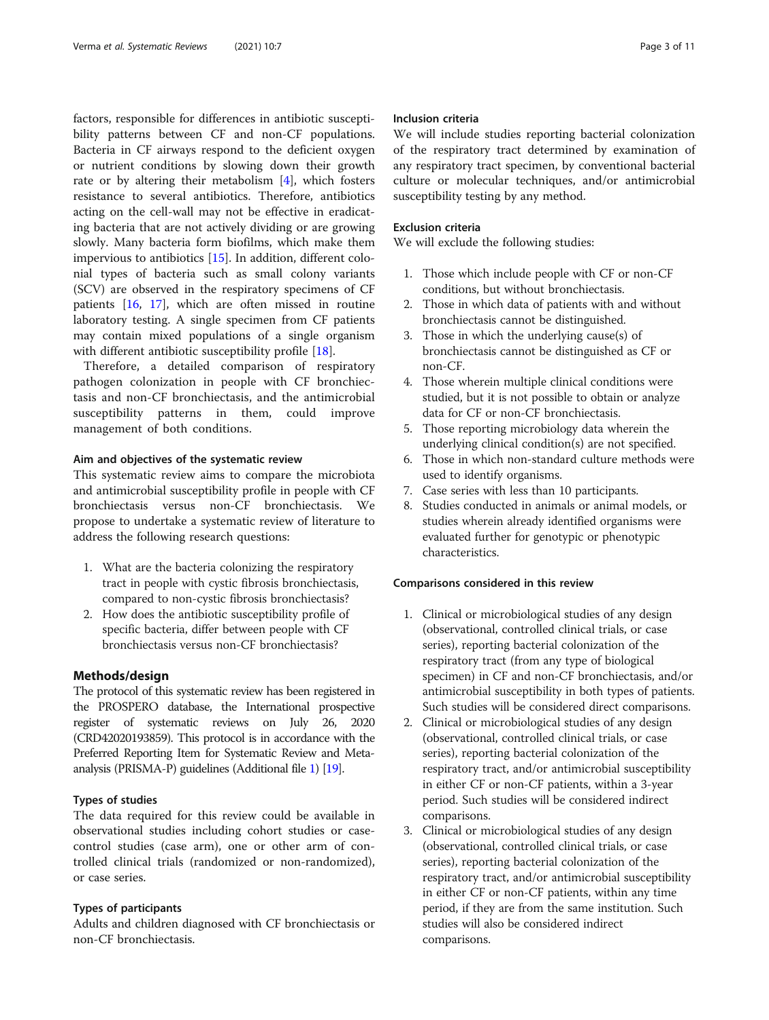factors, responsible for differences in antibiotic susceptibility patterns between CF and non-CF populations. Bacteria in CF airways respond to the deficient oxygen or nutrient conditions by slowing down their growth rate or by altering their metabolism [[4\]](#page-9-0), which fosters resistance to several antibiotics. Therefore, antibiotics acting on the cell-wall may not be effective in eradicating bacteria that are not actively dividing or are growing slowly. Many bacteria form biofilms, which make them impervious to antibiotics [\[15](#page-10-0)]. In addition, different colonial types of bacteria such as small colony variants (SCV) are observed in the respiratory specimens of CF patients [[16,](#page-10-0) [17\]](#page-10-0), which are often missed in routine laboratory testing. A single specimen from CF patients may contain mixed populations of a single organism with different antibiotic susceptibility profile [[18\]](#page-10-0).

Therefore, a detailed comparison of respiratory pathogen colonization in people with CF bronchiectasis and non-CF bronchiectasis, and the antimicrobial susceptibility patterns in them, could improve management of both conditions.

#### Aim and objectives of the systematic review

This systematic review aims to compare the microbiota and antimicrobial susceptibility profile in people with CF bronchiectasis versus non-CF bronchiectasis. We propose to undertake a systematic review of literature to address the following research questions:

- 1. What are the bacteria colonizing the respiratory tract in people with cystic fibrosis bronchiectasis, compared to non-cystic fibrosis bronchiectasis?
- 2. How does the antibiotic susceptibility profile of specific bacteria, differ between people with CF bronchiectasis versus non-CF bronchiectasis?

# Methods/design

The protocol of this systematic review has been registered in the PROSPERO database, the International prospective register of systematic reviews on July 26, 2020 (CRD42020193859). This protocol is in accordance with the Preferred Reporting Item for Systematic Review and Metaanalysis (PRISMA-P) guidelines (Additional file [1](#page-9-0)) [\[19\]](#page-10-0).

# Types of studies

The data required for this review could be available in observational studies including cohort studies or casecontrol studies (case arm), one or other arm of controlled clinical trials (randomized or non-randomized), or case series.

# Types of participants

Adults and children diagnosed with CF bronchiectasis or non-CF bronchiectasis.

# Inclusion criteria

We will include studies reporting bacterial colonization of the respiratory tract determined by examination of any respiratory tract specimen, by conventional bacterial culture or molecular techniques, and/or antimicrobial susceptibility testing by any method.

# Exclusion criteria

We will exclude the following studies:

- 1. Those which include people with CF or non-CF conditions, but without bronchiectasis.
- 2. Those in which data of patients with and without bronchiectasis cannot be distinguished.
- 3. Those in which the underlying cause(s) of bronchiectasis cannot be distinguished as CF or non-CF.
- 4. Those wherein multiple clinical conditions were studied, but it is not possible to obtain or analyze data for CF or non-CF bronchiectasis.
- 5. Those reporting microbiology data wherein the underlying clinical condition(s) are not specified.
- 6. Those in which non-standard culture methods were used to identify organisms.
- 7. Case series with less than 10 participants.
- 8. Studies conducted in animals or animal models, or studies wherein already identified organisms were evaluated further for genotypic or phenotypic characteristics.

#### Comparisons considered in this review

- 1. Clinical or microbiological studies of any design (observational, controlled clinical trials, or case series), reporting bacterial colonization of the respiratory tract (from any type of biological specimen) in CF and non-CF bronchiectasis, and/or antimicrobial susceptibility in both types of patients. Such studies will be considered direct comparisons.
- 2. Clinical or microbiological studies of any design (observational, controlled clinical trials, or case series), reporting bacterial colonization of the respiratory tract, and/or antimicrobial susceptibility in either CF or non-CF patients, within a 3-year period. Such studies will be considered indirect comparisons.
- 3. Clinical or microbiological studies of any design (observational, controlled clinical trials, or case series), reporting bacterial colonization of the respiratory tract, and/or antimicrobial susceptibility in either CF or non-CF patients, within any time period, if they are from the same institution. Such studies will also be considered indirect comparisons.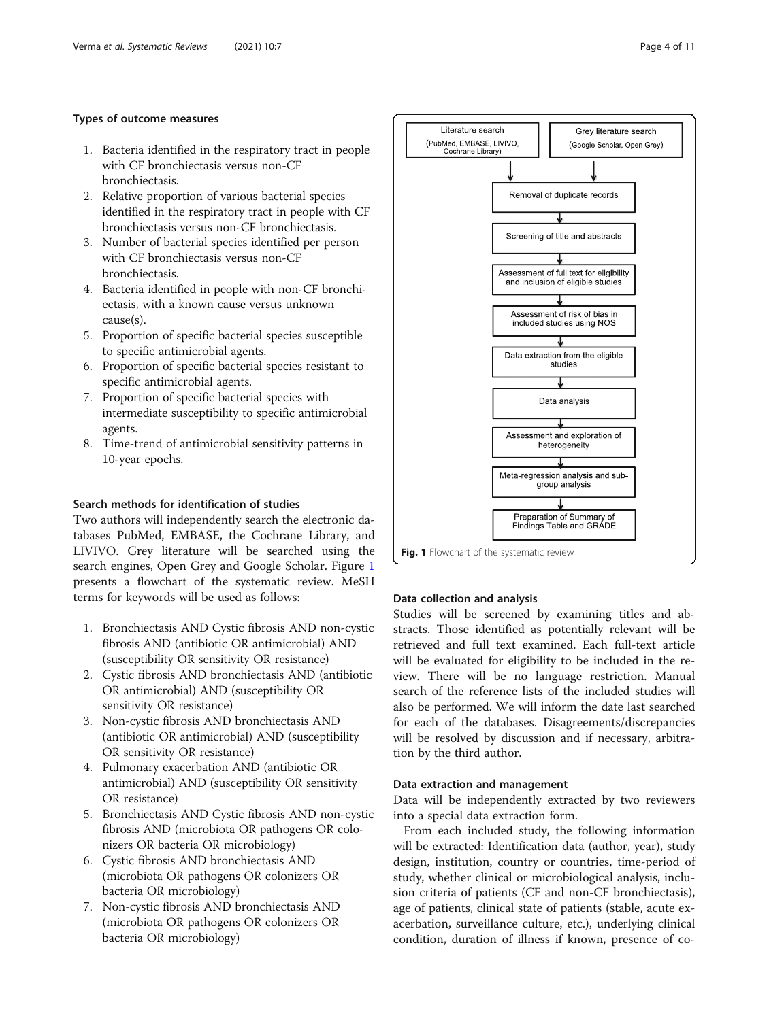# Types of outcome measures

- 1. Bacteria identified in the respiratory tract in people with CF bronchiectasis versus non-CF bronchiectasis.
- 2. Relative proportion of various bacterial species identified in the respiratory tract in people with CF bronchiectasis versus non-CF bronchiectasis.
- 3. Number of bacterial species identified per person with CF bronchiectasis versus non-CF bronchiectasis.
- 4. Bacteria identified in people with non-CF bronchiectasis, with a known cause versus unknown cause(s).
- 5. Proportion of specific bacterial species susceptible to specific antimicrobial agents.
- 6. Proportion of specific bacterial species resistant to specific antimicrobial agents.
- 7. Proportion of specific bacterial species with intermediate susceptibility to specific antimicrobial agents.
- 8. Time-trend of antimicrobial sensitivity patterns in 10-year epochs.

# Search methods for identification of studies

Two authors will independently search the electronic databases PubMed, EMBASE, the Cochrane Library, and LIVIVO. Grey literature will be searched using the search engines, Open Grey and Google Scholar. Figure 1 presents a flowchart of the systematic review. MeSH terms for keywords will be used as follows:

- 1. Bronchiectasis AND Cystic fibrosis AND non-cystic fibrosis AND (antibiotic OR antimicrobial) AND (susceptibility OR sensitivity OR resistance)
- 2. Cystic fibrosis AND bronchiectasis AND (antibiotic OR antimicrobial) AND (susceptibility OR sensitivity OR resistance)
- 3. Non-cystic fibrosis AND bronchiectasis AND (antibiotic OR antimicrobial) AND (susceptibility OR sensitivity OR resistance)
- 4. Pulmonary exacerbation AND (antibiotic OR antimicrobial) AND (susceptibility OR sensitivity OR resistance)
- 5. Bronchiectasis AND Cystic fibrosis AND non-cystic fibrosis AND (microbiota OR pathogens OR colonizers OR bacteria OR microbiology)
- 6. Cystic fibrosis AND bronchiectasis AND (microbiota OR pathogens OR colonizers OR bacteria OR microbiology)
- 7. Non-cystic fibrosis AND bronchiectasis AND (microbiota OR pathogens OR colonizers OR bacteria OR microbiology)



# Data collection and analysis

Studies will be screened by examining titles and abstracts. Those identified as potentially relevant will be retrieved and full text examined. Each full-text article will be evaluated for eligibility to be included in the review. There will be no language restriction. Manual search of the reference lists of the included studies will also be performed. We will inform the date last searched for each of the databases. Disagreements/discrepancies will be resolved by discussion and if necessary, arbitration by the third author.

#### Data extraction and management

Data will be independently extracted by two reviewers into a special data extraction form.

From each included study, the following information will be extracted: Identification data (author, year), study design, institution, country or countries, time-period of study, whether clinical or microbiological analysis, inclusion criteria of patients (CF and non-CF bronchiectasis), age of patients, clinical state of patients (stable, acute exacerbation, surveillance culture, etc.), underlying clinical condition, duration of illness if known, presence of co-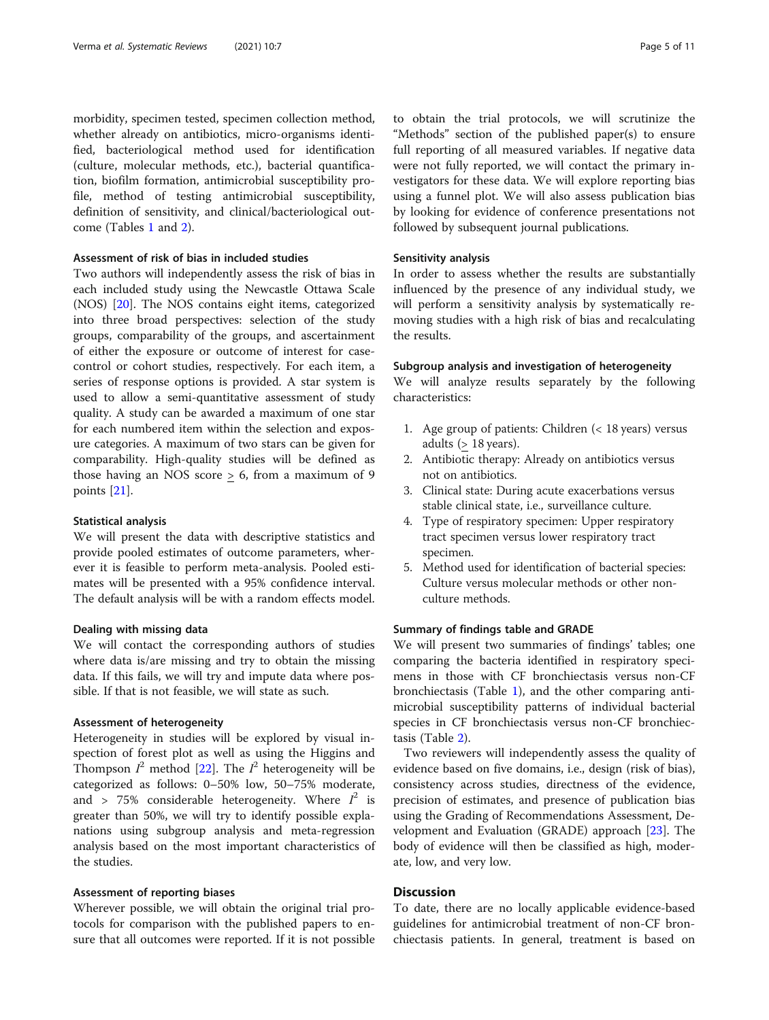morbidity, specimen tested, specimen collection method, whether already on antibiotics, micro-organisms identified, bacteriological method used for identification (culture, molecular methods, etc.), bacterial quantification, biofilm formation, antimicrobial susceptibility profile, method of testing antimicrobial susceptibility, definition of sensitivity, and clinical/bacteriological outcome (Tables [1](#page-5-0) and [2](#page-7-0)).

# Assessment of risk of bias in included studies

Two authors will independently assess the risk of bias in each included study using the Newcastle Ottawa Scale (NOS) [\[20](#page-10-0)]. The NOS contains eight items, categorized into three broad perspectives: selection of the study groups, comparability of the groups, and ascertainment of either the exposure or outcome of interest for casecontrol or cohort studies, respectively. For each item, a series of response options is provided. A star system is used to allow a semi-quantitative assessment of study quality. A study can be awarded a maximum of one star for each numbered item within the selection and exposure categories. A maximum of two stars can be given for comparability. High-quality studies will be defined as those having an NOS score  $\geq$  6, from a maximum of 9 points [\[21\]](#page-10-0).

#### Statistical analysis

We will present the data with descriptive statistics and provide pooled estimates of outcome parameters, wherever it is feasible to perform meta-analysis. Pooled estimates will be presented with a 95% confidence interval. The default analysis will be with a random effects model.

# Dealing with missing data

We will contact the corresponding authors of studies where data is/are missing and try to obtain the missing data. If this fails, we will try and impute data where possible. If that is not feasible, we will state as such.

# Assessment of heterogeneity

Heterogeneity in studies will be explored by visual inspection of forest plot as well as using the Higgins and Thompson  $I^2$  method [\[22](#page-10-0)]. The  $I^2$  heterogeneity will be categorized as follows: 0–50% low, 50–75% moderate, and > 75% considerable heterogeneity. Where  $I^2$  is greater than 50%, we will try to identify possible explanations using subgroup analysis and meta-regression analysis based on the most important characteristics of the studies.

# Assessment of reporting biases

Wherever possible, we will obtain the original trial protocols for comparison with the published papers to ensure that all outcomes were reported. If it is not possible to obtain the trial protocols, we will scrutinize the "Methods" section of the published paper(s) to ensure full reporting of all measured variables. If negative data were not fully reported, we will contact the primary investigators for these data. We will explore reporting bias using a funnel plot. We will also assess publication bias by looking for evidence of conference presentations not followed by subsequent journal publications.

# Sensitivity analysis

In order to assess whether the results are substantially influenced by the presence of any individual study, we will perform a sensitivity analysis by systematically removing studies with a high risk of bias and recalculating the results.

#### Subgroup analysis and investigation of heterogeneity

We will analyze results separately by the following characteristics:

- 1. Age group of patients: Children (< 18 years) versus adults (> 18 years).
- 2. Antibiotic therapy: Already on antibiotics versus not on antibiotics.
- 3. Clinical state: During acute exacerbations versus stable clinical state, i.e., surveillance culture.
- 4. Type of respiratory specimen: Upper respiratory tract specimen versus lower respiratory tract specimen.
- 5. Method used for identification of bacterial species: Culture versus molecular methods or other nonculture methods.

# Summary of findings table and GRADE

We will present two summaries of findings' tables; one comparing the bacteria identified in respiratory specimens in those with CF bronchiectasis versus non-CF bronchiectasis (Table [1\)](#page-5-0), and the other comparing antimicrobial susceptibility patterns of individual bacterial species in CF bronchiectasis versus non-CF bronchiectasis (Table [2](#page-7-0)).

Two reviewers will independently assess the quality of evidence based on five domains, i.e., design (risk of bias), consistency across studies, directness of the evidence, precision of estimates, and presence of publication bias using the Grading of Recommendations Assessment, Development and Evaluation (GRADE) approach [[23](#page-10-0)]. The body of evidence will then be classified as high, moderate, low, and very low.

# **Discussion**

To date, there are no locally applicable evidence-based guidelines for antimicrobial treatment of non-CF bronchiectasis patients. In general, treatment is based on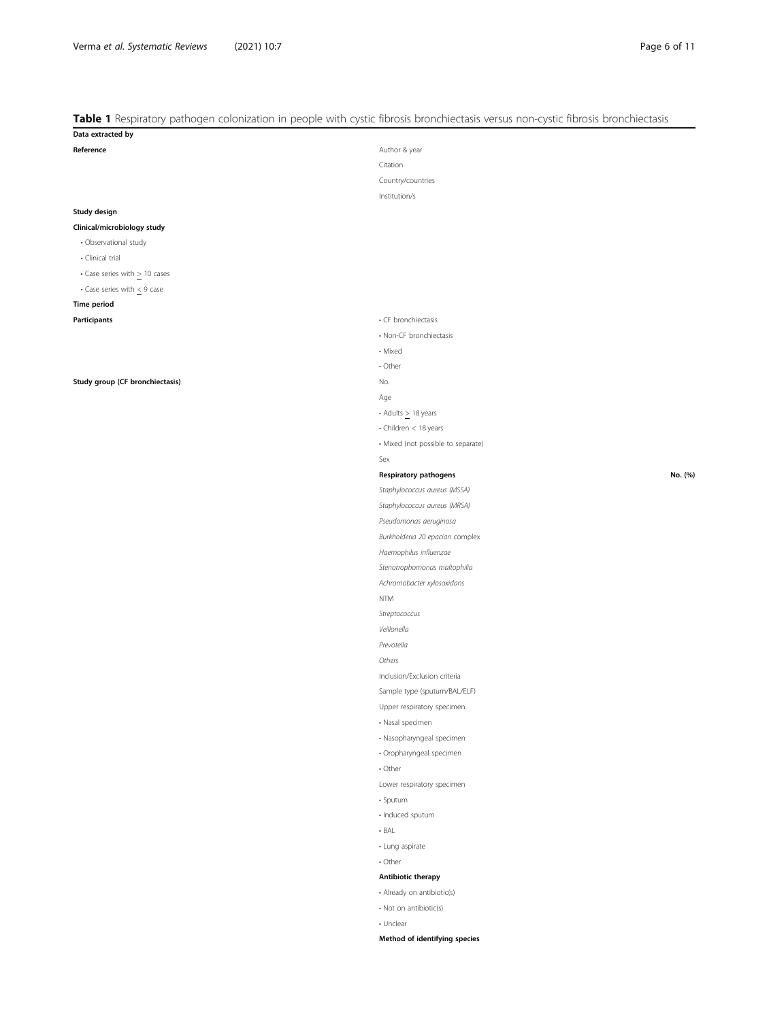# <span id="page-5-0"></span>Table 1 Respiratory pathogen colonization in people with cystic fibrosis bronchiectasis versus non-cystic fibrosis bronchiectasis

| Data extracted by                     |                                    |         |
|---------------------------------------|------------------------------------|---------|
| Reference                             | Author & year                      |         |
|                                       | Citation                           |         |
|                                       | Country/countries                  |         |
|                                       | Institution/s                      |         |
| Study design                          |                                    |         |
| Clinical/microbiology study           |                                    |         |
| · Observational study                 |                                    |         |
| • Clinical trial                      |                                    |         |
| $\cdot$ Case series with $> 10$ cases |                                    |         |
| • Case series with $<$ 9 case         |                                    |         |
| <b>Time period</b>                    |                                    |         |
| Participants                          | • CF bronchiectasis                |         |
|                                       | • Non-CF bronchiectasis            |         |
|                                       | • Mixed                            |         |
|                                       | • Other                            |         |
| Study group (CF bronchiectasis)       | No.                                |         |
|                                       | Age                                |         |
|                                       | $\cdot$ Adults $>$ 18 years        |         |
|                                       | • Children < 18 years              |         |
|                                       | · Mixed (not possible to separate) |         |
|                                       | Sex                                |         |
|                                       | Respiratory pathogens              | No. (%) |
|                                       | Staphylococcus aureus (MSSA)       |         |
|                                       | Staphylococcus aureus (MRSA)       |         |
|                                       | Pseudomonas aeruginosa             |         |
|                                       | Burkholderia 20 epacian complex    |         |
|                                       | Haemophilus influenzae             |         |
|                                       | Stenotrophomonas maltophilia       |         |
|                                       | Achromobacter xylosoxidans         |         |
|                                       | <b>NTM</b>                         |         |
|                                       | Streptococcus                      |         |
|                                       | Veillonella                        |         |
|                                       | Prevotella                         |         |
|                                       | Others                             |         |
|                                       | Inclusion/Exclusion criteria       |         |
|                                       | Sample type (sputum/BAL/ELF)       |         |
|                                       | Upper respiratory specimen         |         |
|                                       | · Nasal specimen                   |         |
|                                       | · Nasopharyngeal specimen          |         |
|                                       | · Oropharyngeal specimen           |         |
|                                       | $\cdot$ Other                      |         |
|                                       | Lower respiratory specimen         |         |
|                                       | · Sputum                           |         |
|                                       | · Induced sputum                   |         |
|                                       | $-BAL$                             |         |
|                                       | • Lung aspirate                    |         |
|                                       | $\cdot$ Other                      |         |
|                                       | Antibiotic therapy                 |         |
|                                       | • Already on antibiotic(s)         |         |
|                                       | • Not on antibiotic(s)             |         |
|                                       | • Unclear                          |         |
|                                       | Method of identifying species      |         |
|                                       |                                    |         |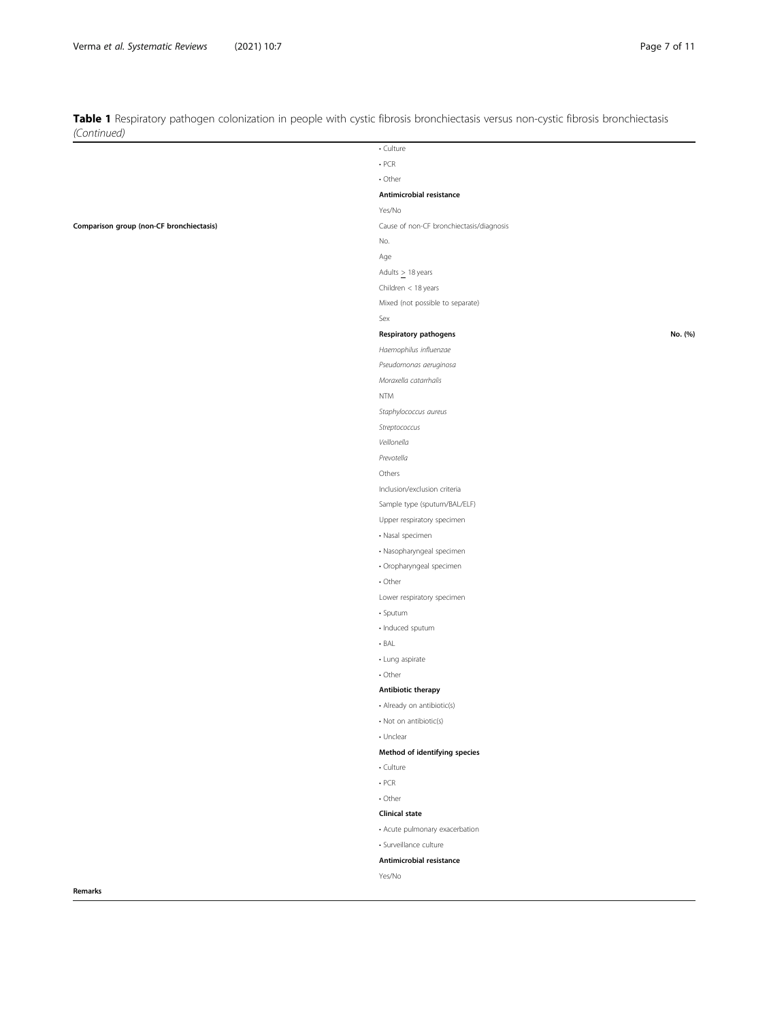Table 1 Respiratory pathogen colonization in people with cystic fibrosis bronchiectasis versus non-cystic fibrosis bronchiectasis (Continued)

|                                          | • Culture                                |         |
|------------------------------------------|------------------------------------------|---------|
|                                          | $. PCR$                                  |         |
|                                          | • Other                                  |         |
|                                          | Antimicrobial resistance                 |         |
|                                          | Yes/No                                   |         |
| Comparison group (non-CF bronchiectasis) | Cause of non-CF bronchiectasis/diagnosis |         |
|                                          | No.                                      |         |
|                                          | Age                                      |         |
|                                          | Adults $\geq$ 18 years                   |         |
|                                          | Children < 18 years                      |         |
|                                          | Mixed (not possible to separate)         |         |
|                                          | Sex                                      |         |
|                                          | Respiratory pathogens                    | No. (%) |
|                                          | Haemophilus influenzae                   |         |
|                                          | Pseudomonas aeruginosa                   |         |
|                                          | Moraxella catarrhalis                    |         |
|                                          | <b>NTM</b>                               |         |
|                                          | Staphylococcus aureus                    |         |
|                                          | Streptococcus                            |         |
|                                          | Veillonella                              |         |
|                                          | Prevotella                               |         |
|                                          | Others                                   |         |
|                                          | Inclusion/exclusion criteria             |         |
|                                          | Sample type (sputum/BAL/ELF)             |         |
|                                          | Upper respiratory specimen               |         |
|                                          | · Nasal specimen                         |         |
|                                          | · Nasopharyngeal specimen                |         |
|                                          | · Oropharyngeal specimen                 |         |
|                                          | $\cdot$ Other                            |         |
|                                          | Lower respiratory specimen               |         |
|                                          | · Sputum                                 |         |
|                                          | · Induced sputum                         |         |
|                                          | $-BAL$                                   |         |
|                                          | · Lung aspirate                          |         |
|                                          |                                          |         |
|                                          | $\cdot$ Other                            |         |
|                                          | Antibiotic therapy                       |         |
|                                          | • Already on antibiotic(s)               |         |
|                                          | • Not on antibiotic(s)                   |         |
|                                          | • Unclear                                |         |
|                                          | Method of identifying species            |         |
|                                          | • Culture                                |         |
|                                          | $\cdot$ PCR                              |         |
|                                          | • Other                                  |         |
|                                          | <b>Clinical state</b>                    |         |
|                                          | • Acute pulmonary exacerbation           |         |
|                                          | · Surveillance culture                   |         |
|                                          | Antimicrobial resistance                 |         |
|                                          | Yes/No                                   |         |
| Remarks                                  |                                          |         |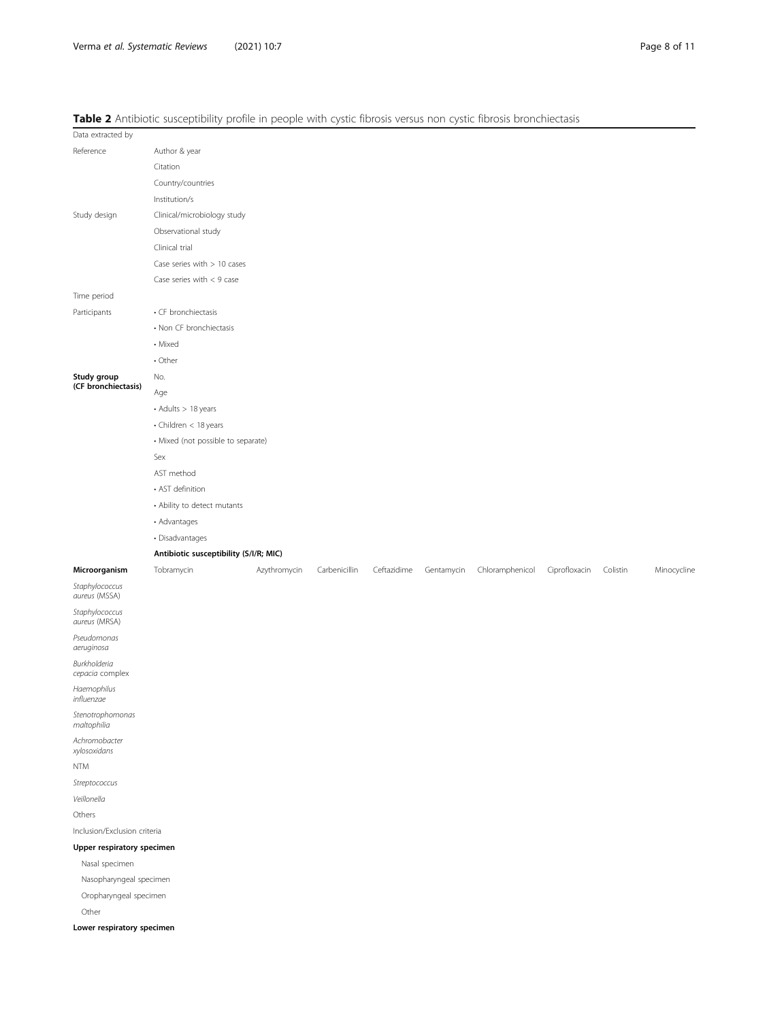# <span id="page-7-0"></span>Table 2 Antibiotic susceptibility profile in people with cystic fibrosis versus non cystic fibrosis bronchiectasis

|                                 | <b>Table 2</b> Artitionally provident people with cystic indicate for the cystic indicate to concentrate |              |               |             |            |                 |               |          |             |
|---------------------------------|----------------------------------------------------------------------------------------------------------|--------------|---------------|-------------|------------|-----------------|---------------|----------|-------------|
| Data extracted by               |                                                                                                          |              |               |             |            |                 |               |          |             |
| Reference                       | Author & year                                                                                            |              |               |             |            |                 |               |          |             |
|                                 | Citation                                                                                                 |              |               |             |            |                 |               |          |             |
|                                 | Country/countries                                                                                        |              |               |             |            |                 |               |          |             |
|                                 | Institution/s                                                                                            |              |               |             |            |                 |               |          |             |
| Study design                    | Clinical/microbiology study                                                                              |              |               |             |            |                 |               |          |             |
|                                 | Observational study                                                                                      |              |               |             |            |                 |               |          |             |
|                                 | Clinical trial                                                                                           |              |               |             |            |                 |               |          |             |
|                                 | Case series with $> 10$ cases                                                                            |              |               |             |            |                 |               |          |             |
|                                 | Case series with $< 9$ case                                                                              |              |               |             |            |                 |               |          |             |
| Time period                     |                                                                                                          |              |               |             |            |                 |               |          |             |
| Participants                    | • CF bronchiectasis                                                                                      |              |               |             |            |                 |               |          |             |
|                                 | • Non CF bronchiectasis                                                                                  |              |               |             |            |                 |               |          |             |
|                                 | • Mixed                                                                                                  |              |               |             |            |                 |               |          |             |
|                                 | • Other                                                                                                  |              |               |             |            |                 |               |          |             |
| Study group                     | No.                                                                                                      |              |               |             |            |                 |               |          |             |
| (CF bronchiectasis)             | Age                                                                                                      |              |               |             |            |                 |               |          |             |
|                                 | • Adults > 18 years                                                                                      |              |               |             |            |                 |               |          |             |
|                                 | • Children < 18 years                                                                                    |              |               |             |            |                 |               |          |             |
|                                 | · Mixed (not possible to separate)                                                                       |              |               |             |            |                 |               |          |             |
|                                 | Sex                                                                                                      |              |               |             |            |                 |               |          |             |
|                                 | AST method                                                                                               |              |               |             |            |                 |               |          |             |
|                                 | • AST definition                                                                                         |              |               |             |            |                 |               |          |             |
|                                 | • Ability to detect mutants                                                                              |              |               |             |            |                 |               |          |             |
|                                 | • Advantages                                                                                             |              |               |             |            |                 |               |          |             |
|                                 | · Disadvantages                                                                                          |              |               |             |            |                 |               |          |             |
|                                 | Antibiotic susceptibility (S/I/R; MIC)                                                                   |              |               |             |            |                 |               |          |             |
| Microorganism                   | Tobramycin                                                                                               | Azythromycin | Carbenicillin | Ceftazidime | Gentamycin | Chloramphenicol | Ciprofloxacin | Colistin | Minocycline |
| Staphylococcus<br>aureus (MSSA) |                                                                                                          |              |               |             |            |                 |               |          |             |
| Staphylococcus<br>aureus (MRSA) |                                                                                                          |              |               |             |            |                 |               |          |             |
| Pseudomonas<br>aeruginosa       |                                                                                                          |              |               |             |            |                 |               |          |             |
| Burkholderia<br>cepacia complex |                                                                                                          |              |               |             |            |                 |               |          |             |
| Haemophilus<br>influenzae       |                                                                                                          |              |               |             |            |                 |               |          |             |
| Stenotrophomonas<br>maltophilia |                                                                                                          |              |               |             |            |                 |               |          |             |
| Achromobacter<br>xylosoxidans   |                                                                                                          |              |               |             |            |                 |               |          |             |
| NTM                             |                                                                                                          |              |               |             |            |                 |               |          |             |
| Streptococcus                   |                                                                                                          |              |               |             |            |                 |               |          |             |
| Veillonella                     |                                                                                                          |              |               |             |            |                 |               |          |             |
| Others                          |                                                                                                          |              |               |             |            |                 |               |          |             |
| Inclusion/Exclusion criteria    |                                                                                                          |              |               |             |            |                 |               |          |             |
| Upper respiratory specimen      |                                                                                                          |              |               |             |            |                 |               |          |             |
|                                 |                                                                                                          |              |               |             |            |                 |               |          |             |
| Nasal specimen                  |                                                                                                          |              |               |             |            |                 |               |          |             |
| Nasopharyngeal specimen         |                                                                                                          |              |               |             |            |                 |               |          |             |

Other

Lower respiratory specimen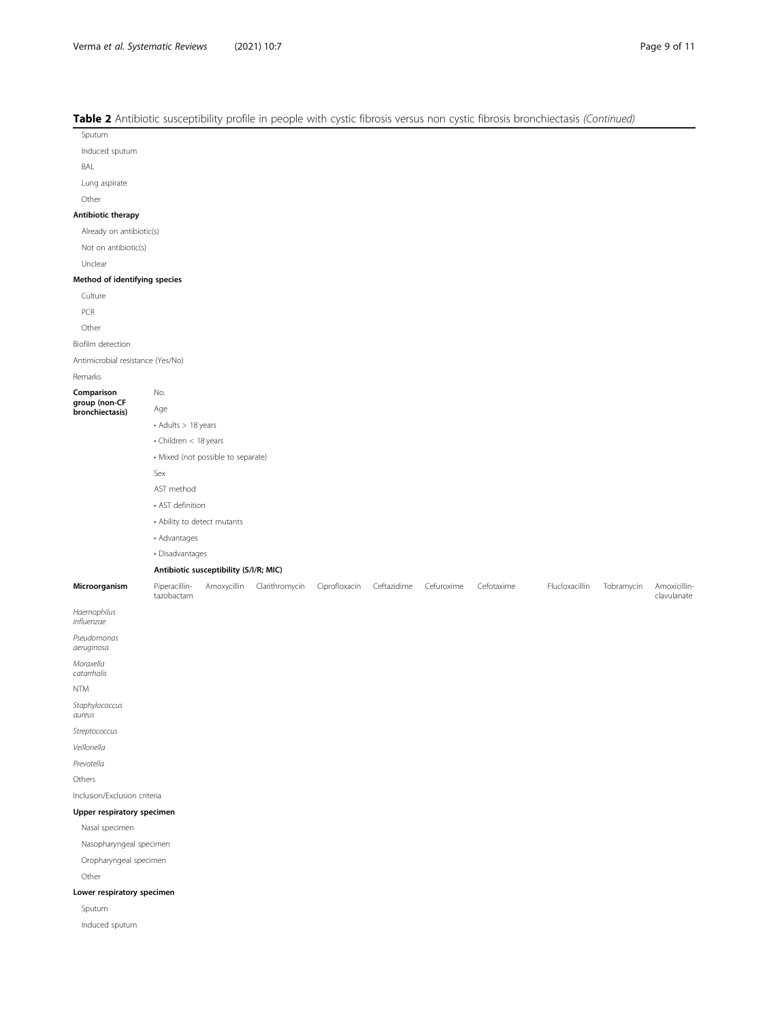# Table 2 Antibiotic susceptibility profile in people with cystic fibrosis versus non cystic fibrosis bronchiectasis (Continued)

Sputum

Induced sputum

BAL

Lung aspirate

Other

#### Antibiotic therapy

Already on antibiotic(s)

Not on antibiotic(s)

Unclear

#### Method of identifying species

Culture

PCR

Other

Biofilm detection

Antimicrobial resistance (Yes/No)

Remarks

Comparison

group (non-CF bronchiectasis)

- Adults > 18 years
- Children < 18 years
- Mixed (not possible to separate)

Sex

No. Age

AST method

• AST definition

- Ability to detect mutants
- Advantages

• Disadvantages

#### Antibiotic susceptibility (S/I/R; MIC)

Microorganism Piperacillintazobactam Amoxycillin Clarithromycin Ciprofloxacin Ceftazidime Cefuroxime Cefotaxime Flucloxacillin Tobramycin Amoxicillinclavulanate

Haemophilus influenzae

Pseudomonas aeruginosa

Moraxella

catarrhalis

NTM

Staphylococcus aureus

Streptococcus

Veillonella

Prevotella

Others

Inclusion/Exclusion criteria

#### Upper respiratory specimen

Nasal specimen

Nasopharyngeal specimen

Oropharyngeal specimen

Other

#### Lower respiratory specimen

Sputum

Induced sputum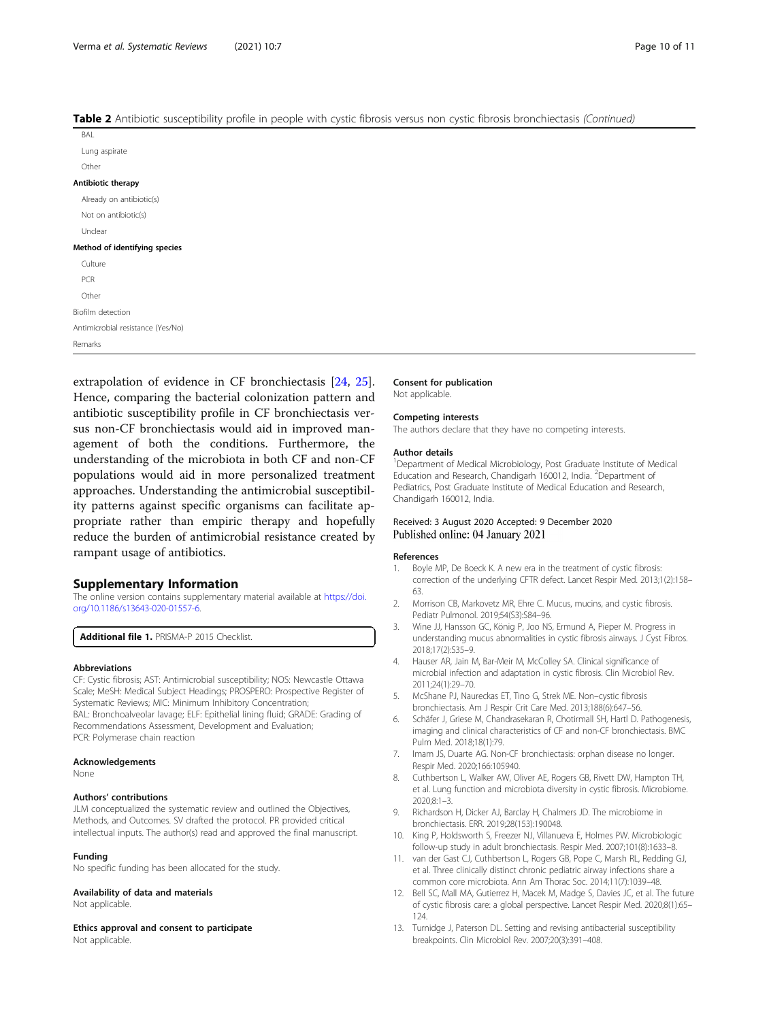#### <span id="page-9-0"></span>Table 2 Antibiotic susceptibility profile in people with cystic fibrosis versus non cystic fibrosis bronchiectasis (Continued)

| $\sim$ $\sim$<br>$\overline{\phantom{a}}$<br>$\overline{\phantom{a}}$<br>. .<br>. . |
|-------------------------------------------------------------------------------------|
| BAL                                                                                 |
| Lung aspirate                                                                       |
| Other                                                                               |
| Antibiotic therapy                                                                  |
| Already on antibiotic(s)                                                            |
| Not on antibiotic(s)                                                                |
| Unclear                                                                             |
| Method of identifying species                                                       |
| Culture                                                                             |
| PCR                                                                                 |
| Other                                                                               |
| Biofilm detection                                                                   |
| Antimicrobial resistance (Yes/No)                                                   |
| Remarks                                                                             |
|                                                                                     |

extrapolation of evidence in CF bronchiectasis [\[24](#page-10-0), [25](#page-10-0)]. Hence, comparing the bacterial colonization pattern and antibiotic susceptibility profile in CF bronchiectasis versus non-CF bronchiectasis would aid in improved management of both the conditions. Furthermore, the understanding of the microbiota in both CF and non-CF populations would aid in more personalized treatment approaches. Understanding the antimicrobial susceptibility patterns against specific organisms can facilitate appropriate rather than empiric therapy and hopefully reduce the burden of antimicrobial resistance created by rampant usage of antibiotics.

# Supplementary Information

The online version contains supplementary material available at [https://doi.](https://doi.org/10.1186/s13643-020-01557-6) [org/10.1186/s13643-020-01557-6.](https://doi.org/10.1186/s13643-020-01557-6)

Additional file 1. PRISMA-P 2015 Checklist.

#### Abbreviations

CF: Cystic fibrosis; AST: Antimicrobial susceptibility; NOS: Newcastle Ottawa Scale; MeSH: Medical Subject Headings; PROSPERO: Prospective Register of Systematic Reviews; MIC: Minimum Inhibitory Concentration; BAL: Bronchoalveolar lavage; ELF: Epithelial lining fluid; GRADE: Grading of Recommendations Assessment, Development and Evaluation; PCR: Polymerase chain reaction

#### Acknowledgements

None

#### Authors' contributions

JLM conceptualized the systematic review and outlined the Objectives, Methods, and Outcomes. SV drafted the protocol. PR provided critical intellectual inputs. The author(s) read and approved the final manuscript.

#### Funding

No specific funding has been allocated for the study.

#### Availability of data and materials

Not applicable.

Ethics approval and consent to participate

Not applicable.

# Consent for publication

Not applicable.

#### Competing interests

The authors declare that they have no competing interests.

#### Author details

<sup>1</sup>Department of Medical Microbiology, Post Graduate Institute of Medical Education and Research, Chandigarh 160012, India. <sup>2</sup>Department of Pediatrics, Post Graduate Institute of Medical Education and Research, Chandigarh 160012, India.

#### Received: 3 August 2020 Accepted: 9 December 2020 Published online: 04 January 2021

#### References

- 1. Boyle MP, De Boeck K. A new era in the treatment of cystic fibrosis: correction of the underlying CFTR defect. Lancet Respir Med. 2013;1(2):158– 63.
- 2. Morrison CB, Markovetz MR, Ehre C. Mucus, mucins, and cystic fibrosis. Pediatr Pulmonol. 2019;54(S3):S84–96.
- 3. Wine JJ, Hansson GC, König P, Joo NS, Ermund A, Pieper M. Progress in understanding mucus abnormalities in cystic fibrosis airways. J Cyst Fibros. 2018;17(2):S35–9.
- 4. Hauser AR, Jain M, Bar-Meir M, McColley SA. Clinical significance of microbial infection and adaptation in cystic fibrosis. Clin Microbiol Rev. 2011;24(1):29–70.
- 5. McShane PJ, Naureckas ET, Tino G, Strek ME. Non–cystic fibrosis bronchiectasis. Am J Respir Crit Care Med. 2013;188(6):647–56.
- 6. Schäfer J, Griese M, Chandrasekaran R, Chotirmall SH, Hartl D. Pathogenesis, imaging and clinical characteristics of CF and non-CF bronchiectasis. BMC Pulm Med. 2018;18(1):79.
- 7. Imam JS, Duarte AG. Non-CF bronchiectasis: orphan disease no longer. Respir Med. 2020;166:105940.
- 8. Cuthbertson L, Walker AW, Oliver AE, Rogers GB, Rivett DW, Hampton TH, et al. Lung function and microbiota diversity in cystic fibrosis. Microbiome. 2020;8:1–3.
- 9. Richardson H, Dicker AJ, Barclay H, Chalmers JD. The microbiome in bronchiectasis. ERR. 2019;28(153):190048.
- 10. King P, Holdsworth S, Freezer NJ, Villanueva E, Holmes PW. Microbiologic follow-up study in adult bronchiectasis. Respir Med. 2007;101(8):1633–8.
- 11. van der Gast CJ, Cuthbertson L, Rogers GB, Pope C, Marsh RL, Redding GJ, et al. Three clinically distinct chronic pediatric airway infections share a common core microbiota. Ann Am Thorac Soc. 2014;11(7):1039–48.
- 12. Bell SC, Mall MA, Gutierrez H, Macek M, Madge S, Davies JC, et al. The future of cystic fibrosis care: a global perspective. Lancet Respir Med. 2020;8(1):65– 124.
- 13. Turnidge J, Paterson DL. Setting and revising antibacterial susceptibility breakpoints. Clin Microbiol Rev. 2007;20(3):391–408.